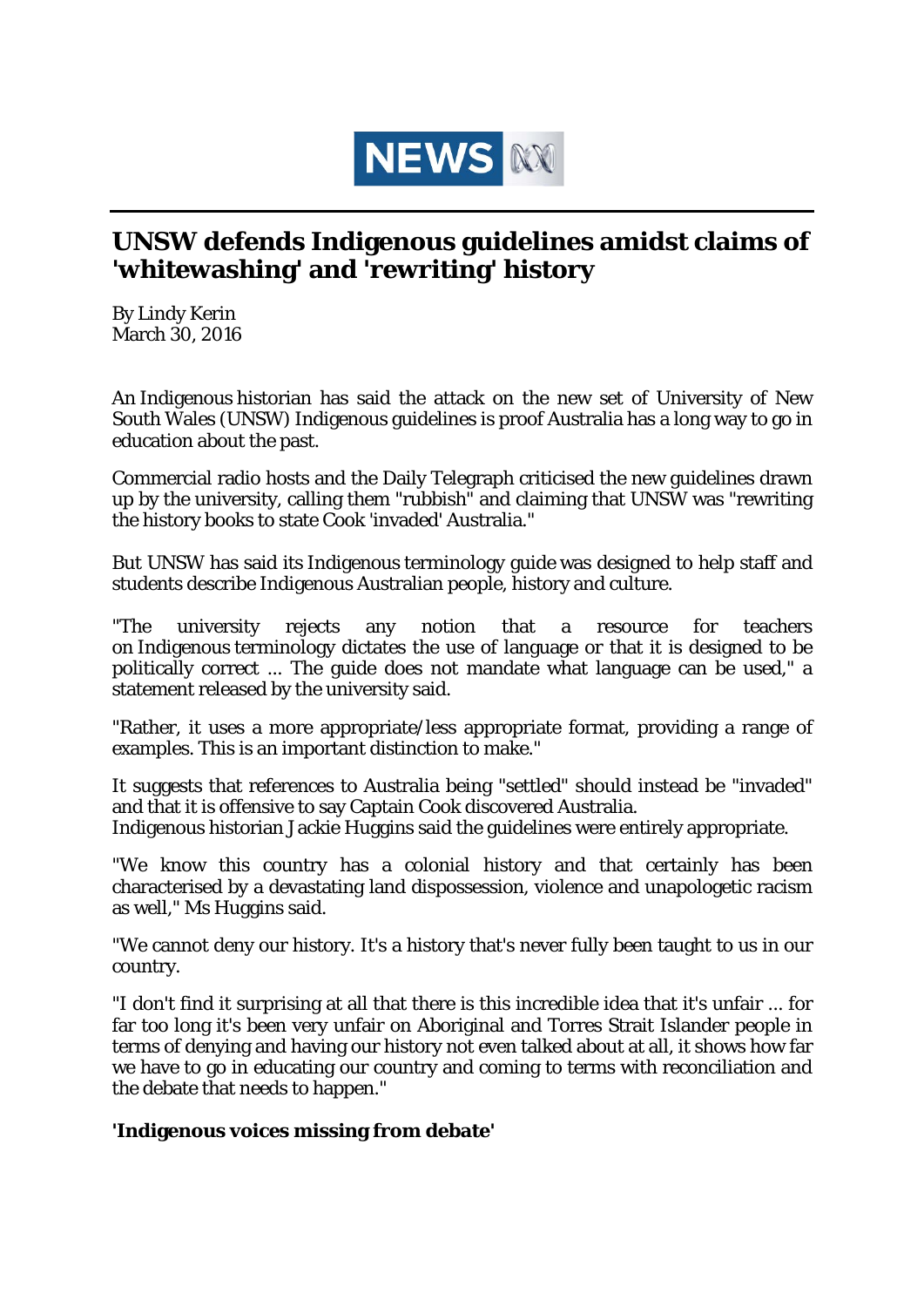

## **UNSW defends Indigenous guidelines amidst claims of 'whitewashing' and 'rewriting' history**

By Lindy Kerin March 30, 2016

An Indigenous historian has said the attack on the new set of University of New South Wales (UNSW) Indigenous guidelines is proof Australia has a long way to go in education about the past.

Commercial radio hosts and the Daily Telegraph criticised the new guidelines drawn up by the university, calling them "rubbish" and claiming that UNSW was "rewriting the history books to state Cook 'invaded' Australia."

But UNSW has said its Indigenous terminology guide was designed to help staff and students describe Indigenous Australian people, history and culture.

"The university rejects any notion that a resource for teachers on Indigenous terminology dictates the use of language or that it is designed to be politically correct ... The guide does not mandate what language can be used," a statement released by the university said.

"Rather, it uses a more appropriate/less appropriate format, providing a range of examples. This is an important distinction to make."

It suggests that references to Australia being "settled" should instead be "invaded" and that it is offensive to say Captain Cook discovered Australia. Indigenous historian Jackie Huggins said the guidelines were entirely appropriate.

"We know this country has a colonial history and that certainly has been characterised by a devastating land dispossession, violence and unapologetic racism as well," Ms Huggins said.

"We cannot deny our history. It's a history that's never fully been taught to us in our country.

"I don't find it surprising at all that there is this incredible idea that it's unfair ... for far too long it's been very unfair on Aboriginal and Torres Strait Islander people in terms of denying and having our history not even talked about at all, it shows how far we have to go in educating our country and coming to terms with reconciliation and the debate that needs to happen."

## **'Indigenous voices missing from debate'**